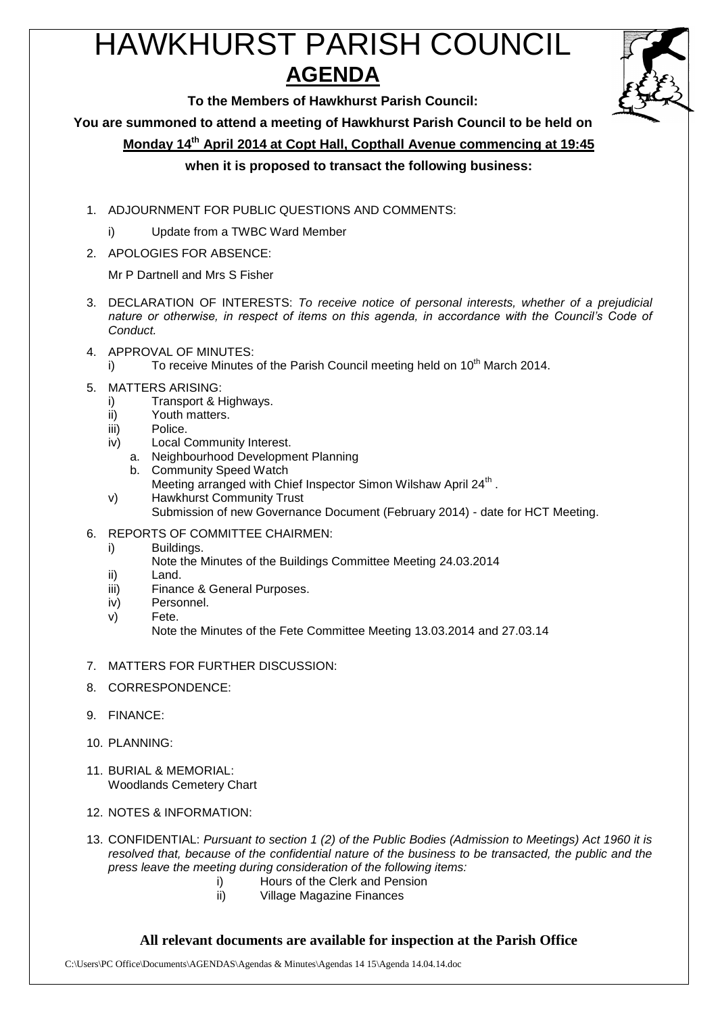# HAWKHURST PARISH COUNCIL **AGENDA**



**To the Members of Hawkhurst Parish Council:**

**You are summoned to attend a meeting of Hawkhurst Parish Council to be held on**

**Monday 14 th April 2014 at Copt Hall, Copthall Avenue commencing at 19:45**

#### **when it is proposed to transact the following business:**

- 1. ADJOURNMENT FOR PUBLIC QUESTIONS AND COMMENTS:
	- i) Update from a TWBC Ward Member
- 2. APOLOGIES FOR ABSENCE:

Mr P Dartnell and Mrs S Fisher

- 3. DECLARATION OF INTERESTS: *To receive notice of personal interests, whether of a prejudicial nature or otherwise, in respect of items on this agenda, in accordance with the Council's Code of Conduct.*
- 4. APPROVAL OF MINUTES:
	- i) To receive Minutes of the Parish Council meeting held on 10<sup>th</sup> March 2014.
- 5. MATTERS ARISING:
	- i) Transport & Highways.
	- ii) Youth matters.
	- iii) Police.
	- iv) Local Community Interest.
		- a. Neighbourhood Development Planning
		- b. Community Speed Watch
		- Meeting arranged with Chief Inspector Simon Wilshaw April 24<sup>th</sup>.
	- v) Hawkhurst Community Trust
		- Submission of new Governance Document (February 2014) date for HCT Meeting.
- 6. REPORTS OF COMMITTEE CHAIRMEN:
	- i) Buildings.
		- Note the Minutes of the Buildings Committee Meeting 24.03.2014
	- ii) Land.
	- iii) Finance & General Purposes.
	- iv) Personnel.
	- v) Fete.

Note the Minutes of the Fete Committee Meeting 13.03.2014 and 27.03.14

- 7. MATTERS FOR FURTHER DISCUSSION:
- 8. CORRESPONDENCE:
- 9. FINANCE:
- 10. PLANNING:
- 11. BURIAL & MEMORIAL: Woodlands Cemetery Chart
- 12. NOTES & INFORMATION:

13. CONFIDENTIAL: *Pursuant to section 1 (2) of the Public Bodies (Admission to Meetings) Act 1960 it is resolved that, because of the confidential nature of the business to be transacted, the public and the press leave the meeting during consideration of the following items:*

- i) Hours of the Clerk and Pension<br>ii) Village Magazine Finances
- Village Magazine Finances

#### **All relevant documents are available for inspection at the Parish Office**

C:\Users\PC Office\Documents\AGENDAS\Agendas & Minutes\Agendas 14 15\Agenda 14.04.14.doc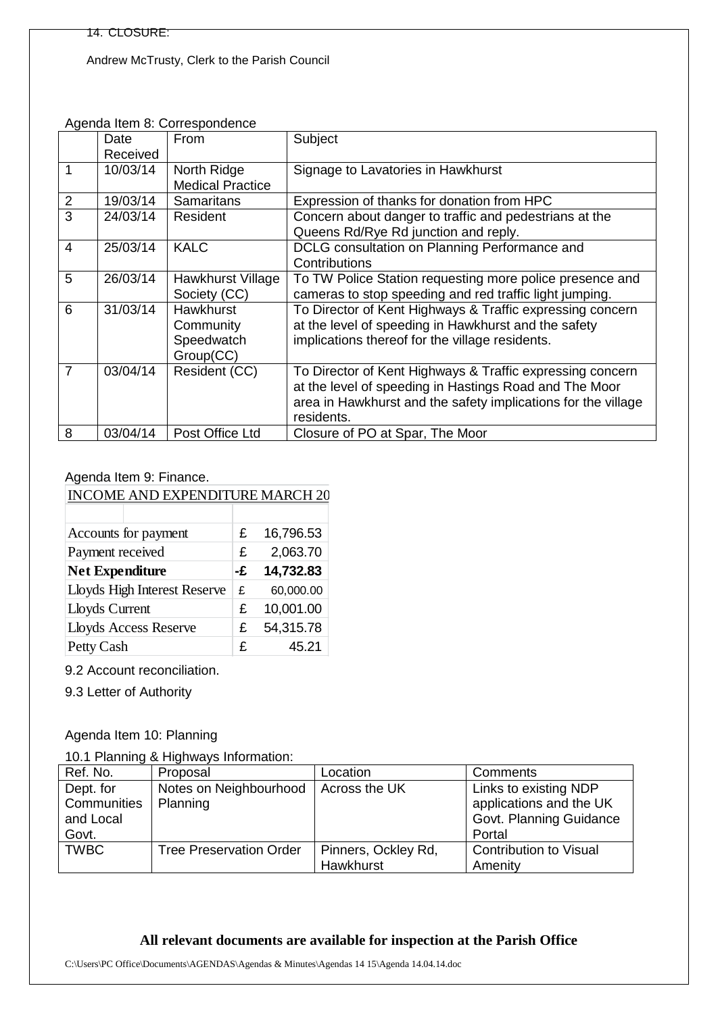Andrew McTrusty, Clerk to the Parish Council

|                |          | Agenua Rent of Correspondence |                                                               |
|----------------|----------|-------------------------------|---------------------------------------------------------------|
|                | Date     | From                          | Subject                                                       |
|                | Received |                               |                                                               |
|                | 10/03/14 | North Ridge                   | Signage to Lavatories in Hawkhurst                            |
|                |          | <b>Medical Practice</b>       |                                                               |
| $\overline{2}$ | 19/03/14 | <b>Samaritans</b>             | Expression of thanks for donation from HPC                    |
| 3              | 24/03/14 | Resident                      | Concern about danger to traffic and pedestrians at the        |
|                |          |                               | Queens Rd/Rye Rd junction and reply.                          |
| 4              | 25/03/14 | <b>KALC</b>                   | DCLG consultation on Planning Performance and                 |
|                |          |                               | Contributions                                                 |
| 5              | 26/03/14 | Hawkhurst Village             | To TW Police Station requesting more police presence and      |
|                |          | Society (CC)                  | cameras to stop speeding and red traffic light jumping.       |
| 6              | 31/03/14 | <b>Hawkhurst</b>              | To Director of Kent Highways & Traffic expressing concern     |
|                |          | Community                     | at the level of speeding in Hawkhurst and the safety          |
|                |          | Speedwatch                    | implications thereof for the village residents.               |
|                |          | Group(CC)                     |                                                               |
| $\overline{7}$ | 03/04/14 | Resident (CC)                 | To Director of Kent Highways & Traffic expressing concern     |
|                |          |                               | at the level of speeding in Hastings Road and The Moor        |
|                |          |                               | area in Hawkhurst and the safety implications for the village |
|                |          |                               | residents.                                                    |
| 8              | 03/04/14 | Post Office Ltd               | Closure of PO at Spar, The Moor                               |

Agenda Item 8: Correspondence

#### Agenda Item 9: Finance.

## INCOME AND EXPENDITURE MARCH 20

| £  | 16,796.53 |
|----|-----------|
| £  | 2,063.70  |
| -£ | 14,732.83 |
| £  | 60,000.00 |
| £  | 10,001.00 |
| £  | 54,315.78 |
| £  | 45.21     |
|    |           |

9.2 Account reconciliation.

9.3 Letter of Authority

## Agenda Item 10: Planning

10.1 Planning & Highways Information:

| Ref. No.                                       | Proposal                           | Location                         | Comments                                                                              |
|------------------------------------------------|------------------------------------|----------------------------------|---------------------------------------------------------------------------------------|
| Dept. for<br>Communities<br>and Local<br>Govt. | Notes on Neighbourhood<br>Planning | Across the UK                    | Links to existing NDP<br>applications and the UK<br>Govt. Planning Guidance<br>Portal |
| <b>TWBC</b>                                    | <b>Tree Preservation Order</b>     | Pinners, Ockley Rd,<br>Hawkhurst | <b>Contribution to Visual</b><br>Amenity                                              |

#### **All relevant documents are available for inspection at the Parish Office**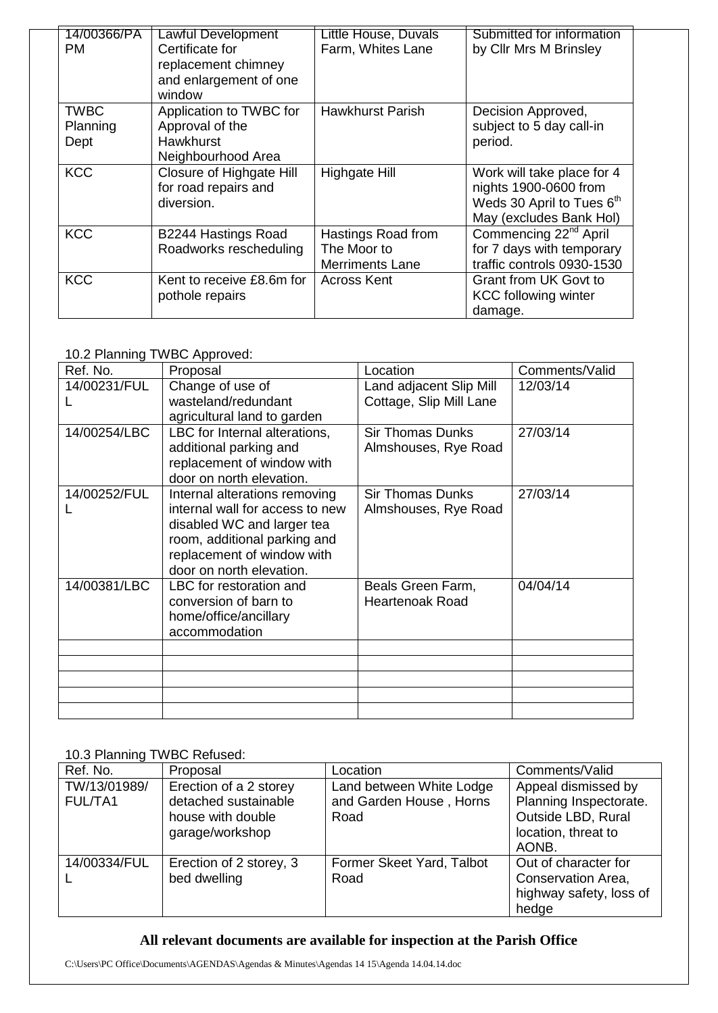| 14/00366/PA<br>РM               | <b>Lawful Development</b><br>Certificate for<br>replacement chimney<br>and enlargement of one<br>window | Little House, Duvals<br>Farm, Whites Lane                   | Submitted for information<br>by Cllr Mrs M Brinsley                                                         |
|---------------------------------|---------------------------------------------------------------------------------------------------------|-------------------------------------------------------------|-------------------------------------------------------------------------------------------------------------|
| <b>TWBC</b><br>Planning<br>Dept | Application to TWBC for<br>Approval of the<br><b>Hawkhurst</b><br>Neighbourhood Area                    | <b>Hawkhurst Parish</b>                                     | Decision Approved,<br>subject to 5 day call-in<br>period.                                                   |
| <b>KCC</b>                      | Closure of Highgate Hill<br>for road repairs and<br>diversion.                                          | Highgate Hill                                               | Work will take place for 4<br>nights 1900-0600 from<br>Weds 30 April to Tues 6th<br>May (excludes Bank Hol) |
| <b>KCC</b>                      | B2244 Hastings Road<br>Roadworks rescheduling                                                           | Hastings Road from<br>The Moor to<br><b>Merriments Lane</b> | Commencing 22 <sup>nd</sup> April<br>for 7 days with temporary<br>traffic controls 0930-1530                |
| <b>KCC</b>                      | Kent to receive £8.6m for<br>pothole repairs                                                            | <b>Across Kent</b>                                          | Grant from UK Govt to<br><b>KCC following winter</b><br>damage.                                             |

## 10.2 Planning TWBC Approved:

| Ref. No.     | Proposal                        | Location                | Comments/Valid |
|--------------|---------------------------------|-------------------------|----------------|
| 14/00231/FUL | Change of use of                | Land adjacent Slip Mill | 12/03/14       |
|              | wasteland/redundant             | Cottage, Slip Mill Lane |                |
|              | agricultural land to garden     |                         |                |
| 14/00254/LBC | LBC for Internal alterations,   | <b>Sir Thomas Dunks</b> | 27/03/14       |
|              | additional parking and          | Almshouses, Rye Road    |                |
|              | replacement of window with      |                         |                |
|              | door on north elevation.        |                         |                |
| 14/00252/FUL | Internal alterations removing   | <b>Sir Thomas Dunks</b> | 27/03/14       |
|              | internal wall for access to new | Almshouses, Rye Road    |                |
|              | disabled WC and larger tea      |                         |                |
|              | room, additional parking and    |                         |                |
|              | replacement of window with      |                         |                |
|              | door on north elevation.        |                         |                |
| 14/00381/LBC | LBC for restoration and         | Beals Green Farm,       | 04/04/14       |
|              | conversion of barn to           | <b>Heartenoak Road</b>  |                |
|              | home/office/ancillary           |                         |                |
|              | accommodation                   |                         |                |
|              |                                 |                         |                |
|              |                                 |                         |                |
|              |                                 |                         |                |
|              |                                 |                         |                |
|              |                                 |                         |                |

#### 10.3 Planning TWBC Refused:

| Ref. No.                | Proposal                                                                               | Location                                                    | Comments/Valid                                                                                      |
|-------------------------|----------------------------------------------------------------------------------------|-------------------------------------------------------------|-----------------------------------------------------------------------------------------------------|
| TW/13/01989/<br>FUL/TA1 | Erection of a 2 storey<br>detached sustainable<br>house with double<br>garage/workshop | Land between White Lodge<br>and Garden House, Horns<br>Road | Appeal dismissed by<br>Planning Inspectorate.<br>Outside LBD, Rural<br>location, threat to<br>AONB. |
| 14/00334/FUL            | Erection of 2 storey, 3<br>bed dwelling                                                | Former Skeet Yard, Talbot<br>Road                           | Out of character for<br>Conservation Area,<br>highway safety, loss of<br>hedge                      |

## **All relevant documents are available for inspection at the Parish Office**

C:\Users\PC Office\Documents\AGENDAS\Agendas & Minutes\Agendas 14 15\Agenda 14.04.14.doc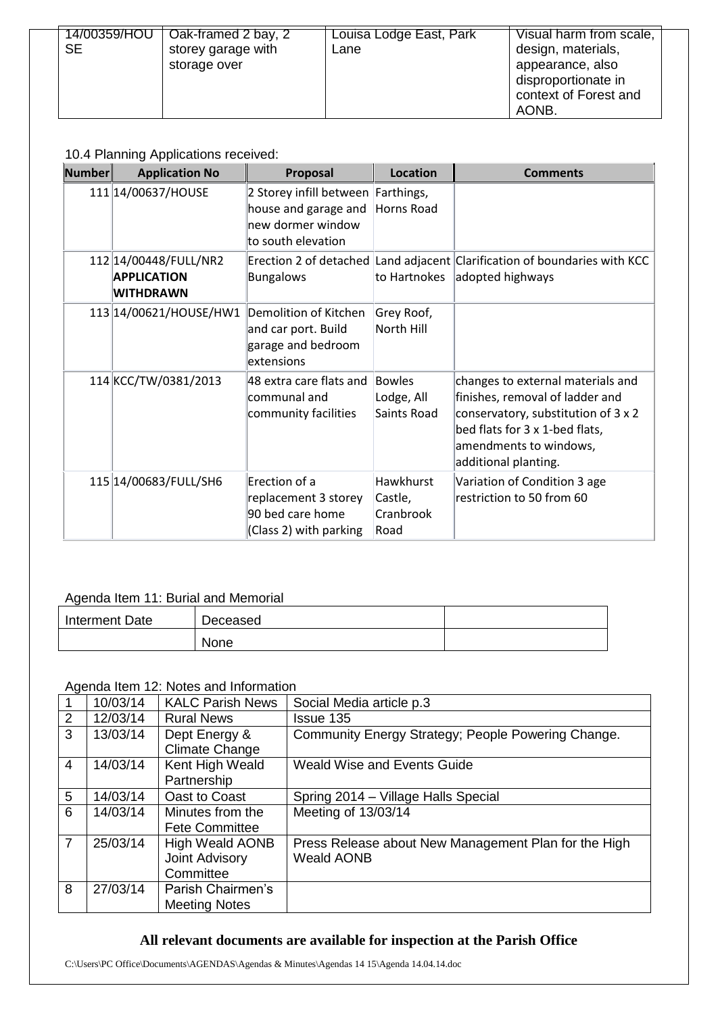| 14/00359/HOU | Oak-framed 2 bay, 2 | Louisa Lodge East, Park | Visual harm from scale, |
|--------------|---------------------|-------------------------|-------------------------|
| <b>SE</b>    | storey garage with  | Lane                    | design, materials,      |
|              | storage over        |                         | appearance, also        |
|              |                     |                         | disproportionate in     |
|              |                     |                         | context of Forest and   |
|              |                     |                         | AONB.                   |

## 10.4 Planning Applications received:

| <b>Number</b> | <b>Application No</b>                                           | Proposal                                                                                              | Location                                         | <b>Comments</b>                                                                                                                                                                                 |
|---------------|-----------------------------------------------------------------|-------------------------------------------------------------------------------------------------------|--------------------------------------------------|-------------------------------------------------------------------------------------------------------------------------------------------------------------------------------------------------|
|               | 111 14/00637/HOUSE                                              | 2 Storey infill between Farthings,<br>house and garage and<br>new dormer window<br>to south elevation | Horns Road                                       |                                                                                                                                                                                                 |
|               | 112 14/00448/FULL/NR2<br><b>APPLICATION</b><br><b>WITHDRAWN</b> | <b>Bungalows</b>                                                                                      | to Hartnokes                                     | Erection 2 of detached Land adjacent Clarification of boundaries with KCC<br>adopted highways                                                                                                   |
|               | 113 14/00621/HOUSE/HW1                                          | Demolition of Kitchen<br>and car port. Build<br>garage and bedroom<br>extensions                      | Grey Roof,<br>North Hill                         |                                                                                                                                                                                                 |
|               | 114 KCC/TW/0381/2013                                            | 48 extra care flats and<br>communal and<br>community facilities                                       | Bowles<br>Lodge, All<br>Saints Road              | changes to external materials and<br>finishes, removal of ladder and<br>conservatory, substitution of 3 x 2<br>bed flats for 3 x 1-bed flats,<br>amendments to windows,<br>additional planting. |
|               | 115 14/00683/FULL/SH6                                           | Erection of a<br>replacement 3 storey<br>90 bed care home<br>(Class 2) with parking                   | <b>Hawkhurst</b><br>Castle,<br>Cranbrook<br>Road | Variation of Condition 3 age<br>restriction to 50 from 60                                                                                                                                       |

## Agenda Item 11: Burial and Memorial

| Interment Date | Deceased |  |
|----------------|----------|--|
|                | None     |  |

## Agenda Item 12: Notes and Information

|                | 10/03/14 | <b>KALC Parish News</b> | Social Media article p.3                             |
|----------------|----------|-------------------------|------------------------------------------------------|
| 2              | 12/03/14 | <b>Rural News</b>       | Issue 135                                            |
| 3              | 13/03/14 | Dept Energy &           | Community Energy Strategy; People Powering Change.   |
|                |          | <b>Climate Change</b>   |                                                      |
| 4              | 14/03/14 | Kent High Weald         | Weald Wise and Events Guide                          |
|                |          | Partnership             |                                                      |
| 5              | 14/03/14 | Oast to Coast           | Spring 2014 – Village Halls Special                  |
| 6              | 14/03/14 | Minutes from the        | Meeting of 13/03/14                                  |
|                |          | <b>Fete Committee</b>   |                                                      |
| $\overline{7}$ | 25/03/14 | <b>High Weald AONB</b>  | Press Release about New Management Plan for the High |
|                |          | Joint Advisory          | <b>Weald AONB</b>                                    |
|                |          | Committee               |                                                      |
| 8              | 27/03/14 | Parish Chairmen's       |                                                      |
|                |          | <b>Meeting Notes</b>    |                                                      |

## **All relevant documents are available for inspection at the Parish Office**

C:\Users\PC Office\Documents\AGENDAS\Agendas & Minutes\Agendas 14 15\Agenda 14.04.14.doc